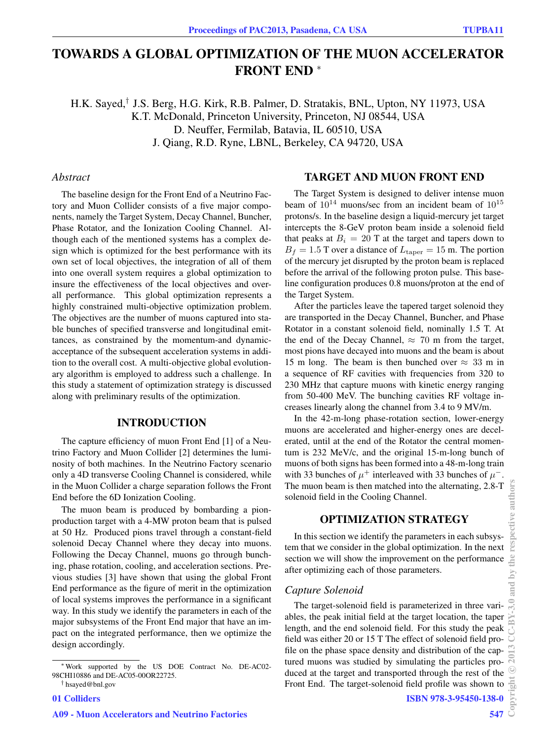# TOWARDS A GLOBAL OPTIMIZATION OF THE MUON ACCELERATOR FRONT END <sup>∗</sup>

H.K. Sayed,† J.S. Berg, H.G. Kirk, R.B. Palmer, D. Stratakis, BNL, Upton, NY 11973, USA K.T. McDonald, Princeton University, Princeton, NJ 08544, USA D. Neuffer, Fermilab, Batavia, IL 60510, USA J. Qiang, R.D. Ryne, LBNL, Berkeley, CA 94720, USA

#### *Abstract*

The baseline design for the Front End of a Neutrino Factory and Muon Collider consists of a five major components, namely the Target System, Decay Channel, Buncher, Phase Rotator, and the Ionization Cooling Channel. Although each of the mentioned systems has a complex design which is optimized for the best performance with its own set of local objectives, the integration of all of them into one overall system requires a global optimization to insure the effectiveness of the local objectives and overall performance. This global optimization represents a highly constrained multi-objective optimization problem. The objectives are the number of muons captured into stable bunches of specified transverse and longitudinal emittances, as constrained by the momentum-and dynamicacceptance of the subsequent acceleration systems in addition to the overall cost. A multi-objective global evolutionary algorithm is employed to address such a challenge. In this study a statement of optimization strategy is discussed along with preliminary results of the optimization.

# INTRODUCTION

The capture efficiency of muon Front End [1] of a Neutrino Factory and Muon Collider [2] determines the luminosity of both machines. In the Neutrino Factory scenario only a 4D transverse Cooling Channel is considered, while in the Muon Collider a charge separation follows the Front End before the 6D Ionization Cooling.

The muon beam is produced by bombarding a pionproduction target with a 4-MW proton beam that is pulsed at 50 Hz. Produced pions travel through a constant-field solenoid Decay Channel where they decay into muons. Following the Decay Channel, muons go through bunching, phase rotation, cooling, and acceleration sections. Previous studies [3] have shown that using the global Front End performance as the figure of merit in the optimization of local systems improves the performance in a significant way. In this study we identify the parameters in each of the major subsystems of the Front End major that have an impact on the integrated performance, then we optimize the design accordingly.

#### TARGET AND MUON FRONT END

The Target System is designed to deliver intense muon beam of  $10^{14}$  muons/sec from an incident beam of  $10^{15}$ protons/s. In the baseline design a liquid-mercury jet target intercepts the 8-GeV proton beam inside a solenoid field that peaks at  $B_i = 20$  T at the target and tapers down to  $B_f = 1.5$  T over a distance of  $L_{\text{taper}} = 15$  m. The portion of the mercury jet disrupted by the proton beam is replaced before the arrival of the following proton pulse. This baseline configuration produces 0.8 muons/proton at the end of the Target System.

After the particles leave the tapered target solenoid they are transported in the Decay Channel, Buncher, and Phase Rotator in a constant solenoid field, nominally 1.5 T. At the end of the Decay Channel,  $\approx 70$  m from the target, most pions have decayed into muons and the beam is about 15 m long. The beam is then bunched over  $\approx$  33 m in a sequence of RF cavities with frequencies from 320 to 230 MHz that capture muons with kinetic energy ranging from 50-400 MeV. The bunching cavities RF voltage increases linearly along the channel from 3.4 to 9 MV/m.

In the 42-m-long phase-rotation section, lower-energy muons are accelerated and higher-energy ones are decelerated, until at the end of the Rotator the central momentum is 232 MeV/c, and the original 15-m-long bunch of muons of both signs has been formed into a 48-m-long train with 33 bunches of  $\mu^+$  interleaved with 33 bunches of  $\mu^-$ . The muon beam is then matched into the alternating, 2.8-T solenoid field in the Cooling Channel.

# OPTIMIZATION STRATEGY

In this section we identify the parameters in each subsystem that we consider in the global optimization. In the next section we will show the improvement on the performance after optimizing each of those parameters.

#### *Capture Solenoid*

The target-solenoid field is parameterized in three variables, the peak initial field at the target location, the taper length, and the end solenoid field. For this study the peak field was either 20 or 15 T The effect of solenoid field profile on the phase space density and distribution of the captured muons was studied by simulating the particles produced at the target and transported through the rest of the Front End. The target-solenoid field profile was shown to

<sup>∗</sup>Work supported by the US DOE Contract No. DE-AC02- 98CHI10886 and DE-AC05-00OR22725.

<sup>†</sup> hsayed@bnl.gov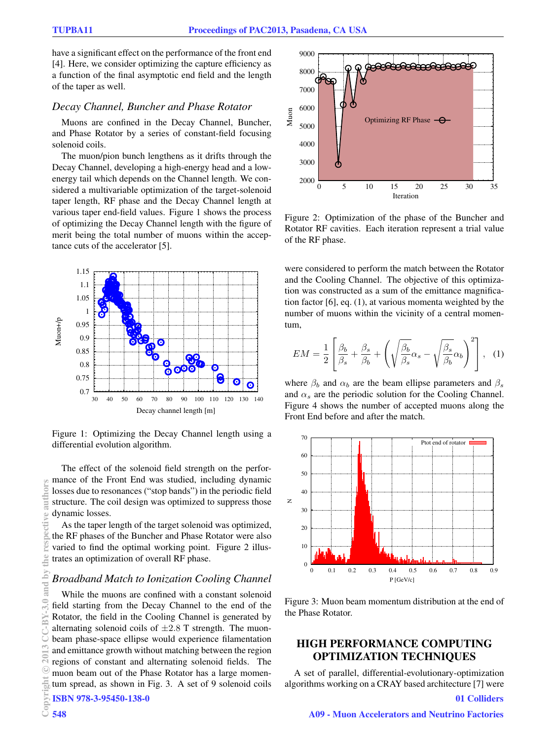have a significant effect on the performance of the front end [4]. Here, we consider optimizing the capture efficiency as a function of the final asymptotic end field and the length of the taper as well.

# *Decay Channel, Buncher and Phase Rotator*

Muons are confined in the Decay Channel, Buncher, and Phase Rotator by a series of constant-field focusing solenoid coils.

The muon/pion bunch lengthens as it drifts through the Decay Channel, developing a high-energy head and a lowenergy tail which depends on the Channel length. We considered a multivariable optimization of the target-solenoid taper length, RF phase and the Decay Channel length at various taper end-field values. Figure 1 shows the process of optimizing the Decay Channel length with the figure of merit being the total number of muons within the acceptance cuts of the accelerator [5].



Figure 1: Optimizing the Decay Channel length using a differential evolution algorithm.

The effect of the solenoid field strength on the performance of the Front End was studied, including dynamic losses due to resonances ("stop bands") in the periodic field structure. The coil design was optimized to suppress those dynamic losses.

As the taper length of the target solenoid was optimized, the RF phases of the Buncher and Phase Rotator were also varied to find the optimal working point. Figure 2 illustrates an optimization of overall RF phase.

#### *Broadband Match to Ionization Cooling Channel*

While the muons are confined with a constant solenoid field starting from the Decay Channel to the end of the Rotator, the field in the Cooling Channel is generated by alternating solenoid coils of  $\pm 2.8$  T strength. The muonbeam phase-space ellipse would experience filamentation and emittance growth without matching between the region regions of constant and alternating solenoid fields. The muon beam out of the Phase Rotator has a large momentum spread, as shown in Fig. 3. A set of 9 solenoid coils ISBN 978-3-95450-138-0



Figure 2: Optimization of the phase of the Buncher and Rotator RF cavities. Each iteration represent a trial value of the RF phase.

were considered to perform the match between the Rotator and the Cooling Channel. The objective of this optimization was constructed as a sum of the emittance magnification factor [6], eq. (1), at various momenta weighted by the number of muons within the vicinity of a central momentum,

$$
EM = \frac{1}{2} \left[ \frac{\beta_b}{\beta_s} + \frac{\beta_s}{\beta_b} + \left( \sqrt{\frac{\beta_b}{\beta_s}} \alpha_s - \sqrt{\frac{\beta_s}{\beta_b}} \alpha_b \right)^2 \right], \quad (1)
$$

where  $\beta_b$  and  $\alpha_b$  are the beam ellipse parameters and  $\beta_s$ and  $\alpha_s$  are the periodic solution for the Cooling Channel. Figure 4 shows the number of accepted muons along the Front End before and after the match.



Figure 3: Muon beam momentum distribution at the end of the Phase Rotator.

# HIGH PERFORMANCE COMPUTING OPTIMIZATION TECHNIQUES

A set of parallel, differential-evolutionary-optimization algorithms working on a CRAY based architecture [7] were 01 Colliders